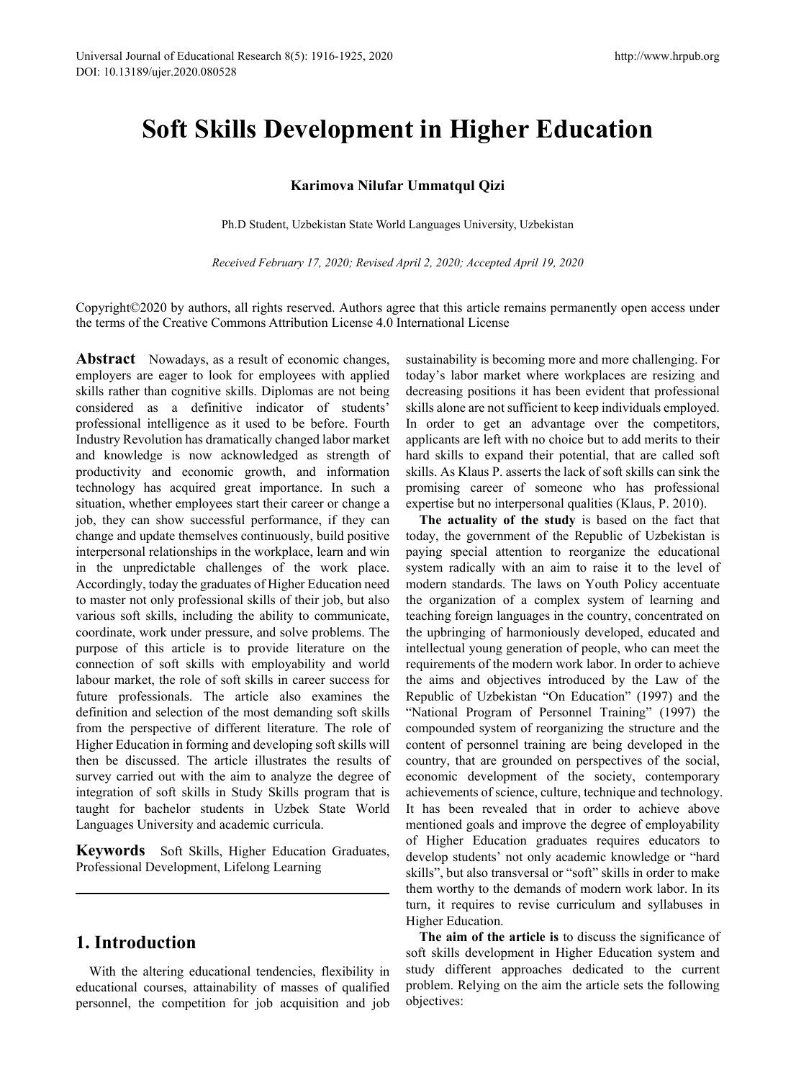# **Soft Skills Development in Higher Education**

### **Karimova Nilufar Ummatqul Qizi**

Ph.D Student, Uzbekistan State World Languages University, Uzbekistan

*Received February 17, 2020; Revised April 2, 2020; Accepted April 19, 2020*

Copyright©2020 by authors, all rights reserved. Authors agree that this article remains permanently open access under the terms of the Creative Commons Attribution License 4.0 International License

Abstract Nowadays, as a result of economic changes, employers are eager to look for employees with applied skills rather than cognitive skills. Diplomas are not being considered as a definitive indicator of students' professional intelligence as it used to be before. Fourth Industry Revolution has dramatically changed labor market and knowledge is now acknowledged as strength of productivity and economic growth, and information technology has acquired great importance. In such a situation, whether employees start their career or change a job, they can show successful performance, if they can change and update themselves continuously, build positive interpersonal relationships in the workplace, learn and win in the unpredictable challenges of the work place. Accordingly, today the graduates of Higher Education need to master not only professional skills of their job, but also various soft skills, including the ability to communicate, coordinate, work under pressure, and solve problems. The purpose of this article is to provide literature on the connection of soft skills with employability and world labour market, the role of soft skills in career success for future professionals. The article also examines the definition and selection of the most demanding soft skills from the perspective of different literature. The role of Higher Education in forming and developing soft skills will then be discussed. The article illustrates the results of survey carried out with the aim to analyze the degree of integration of soft skills in Study Skills program that is taught for bachelor students in Uzbek State World Languages University and academic curricula.

**Keywords** Soft Skills, Higher Education Graduates, Professional Development, Lifelong Learning

# **1. Introduction**

With the altering educational tendencies, flexibility in educational courses, attainability of masses of qualified personnel, the competition for job acquisition and job

sustainability is becoming more and more challenging. For today's labor market where workplaces are resizing and decreasing positions it has been evident that professional skills alone are not sufficient to keep individuals employed. In order to get an advantage over the competitors, applicants are left with no choice but to add merits to their hard skills to expand their potential, that are called soft skills. As Klaus P. asserts the lack of soft skills can sink the promising career of someone who has professional expertise but no interpersonal qualities (Klaus, P. 2010).

**The actuality of the study** is based on the fact that today, the government of the Republic of Uzbekistan is paying special attention to reorganize the educational system radically with an aim to raise it to the level of modern standards. The laws on Youth Policy accentuate the organization of a complex system of learning and teaching foreign languages in the country, concentrated on the upbringing of harmoniously developed, educated and intellectual young generation of people, who can meet the requirements of the modern work labor. In order to achieve the aims and objectives introduced by the Law of the Republic of Uzbekistan "On Education" (1997) and the "National Program of Personnel Training" (1997) the compounded system of reorganizing the structure and the content of personnel training are being developed in the country, that are grounded on perspectives of the social, economic development of the society, contemporary achievements of science, culture, technique and technology. It has been revealed that in order to achieve above mentioned goals and improve the degree of employability of Higher Education graduates requires educators to develop students' not only academic knowledge or "hard skills", but also transversal or "soft" skills in order to make them worthy to the demands of modern work labor. In its turn, it requires to revise curriculum and syllabuses in Higher Education.

**The aim of the article is** to discuss the significance of soft skills development in Higher Education system and study different approaches dedicated to the current problem. Relying on the aim the article sets the following objectives: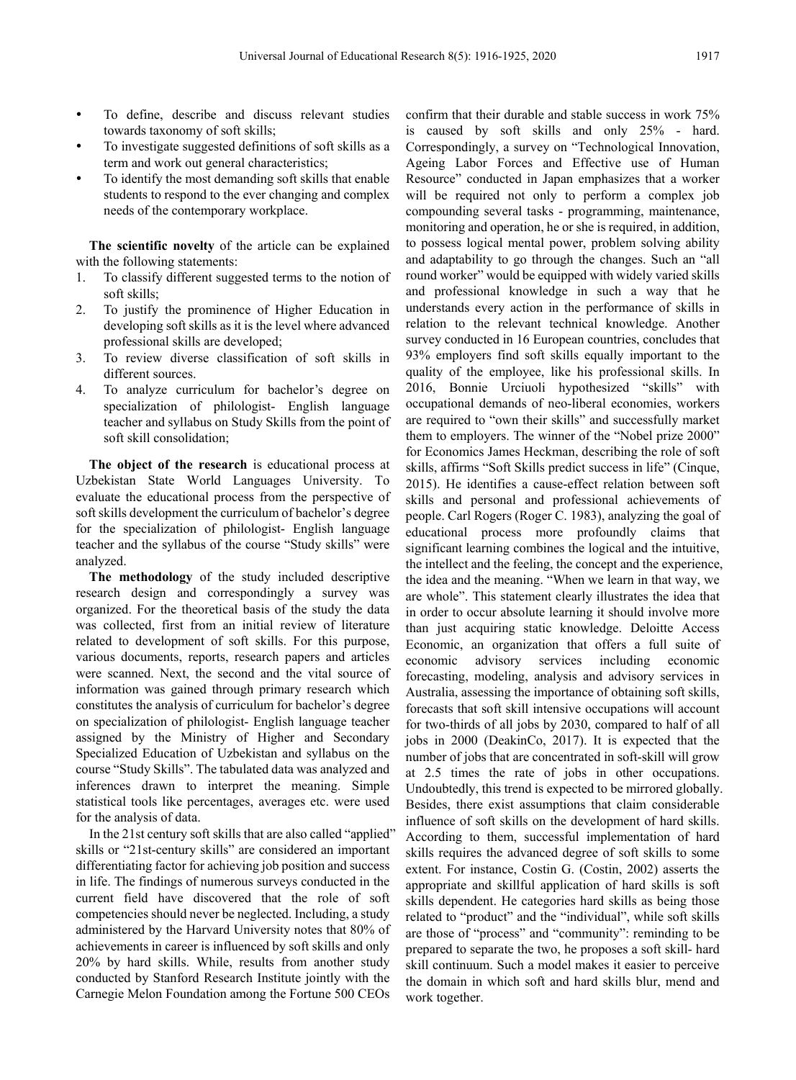- To define, describe and discuss relevant studies towards taxonomy of soft skills;
- To investigate suggested definitions of soft skills as a term and work out general characteristics;
- To identify the most demanding soft skills that enable students to respond to the ever changing and complex needs of the contemporary workplace.

**The scientific novelty** of the article can be explained with the following statements:

- 1. To classify different suggested terms to the notion of soft skills;
- 2. To justify the prominence of Higher Education in developing soft skills as it is the level where advanced professional skills are developed;
- 3. To review diverse classification of soft skills in different sources.
- 4. To analyze curriculum for bachelor's degree on specialization of philologist- English language teacher and syllabus on Study Skills from the point of soft skill consolidation;

**The object of the research** is educational process at Uzbekistan State World Languages University. To evaluate the educational process from the perspective of soft skills development the curriculum of bachelor's degree for the specialization of philologist- English language teacher and the syllabus of the course "Study skills" were analyzed.

**The methodology** of the study included descriptive research design and correspondingly a survey was organized. For the theoretical basis of the study the data was collected, first from an initial review of literature related to development of soft skills. For this purpose, various documents, reports, research papers and articles were scanned. Next, the second and the vital source of information was gained through primary research which constitutes the analysis of curriculum for bachelor's degree on specialization of philologist- English language teacher assigned by the Ministry of Higher and Secondary Specialized Education of Uzbekistan and syllabus on the course "Study Skills". The tabulated data was analyzed and inferences drawn to interpret the meaning. Simple statistical tools like percentages, averages etc. were used for the analysis of data.

In the 21st century soft skills that are also called "applied" skills or "21st-century skills" are considered an important differentiating factor for achieving job position and success in life. The findings of numerous surveys conducted in the current field have discovered that the role of soft competencies should never be neglected. Including, a study administered by the Harvard University notes that 80% of achievements in career is influenced by soft skills and only 20% by hard skills. While, results from another study conducted by Stanford Research Institute jointly with the Carnegie Melon Foundation among the Fortune 500 CEOs

confirm that their durable and stable success in work 75% is caused by soft skills and only 25% - hard. Correspondingly, a survey on "Technological Innovation, Ageing Labor Forces and Effective use of Human Resource" conducted in Japan emphasizes that a worker will be required not only to perform a complex job compounding several tasks - programming, maintenance, monitoring and operation, he or she is required, in addition, to possess logical mental power, problem solving ability and adaptability to go through the changes. Such an "all round worker" would be equipped with widely varied skills and professional knowledge in such a way that he understands every action in the performance of skills in relation to the relevant technical knowledge. Another survey conducted in 16 European countries, concludes that 93% employers find soft skills equally important to the quality of the employee, like his professional skills. In 2016, Bonnie Urciuoli hypothesized "skills" with occupational demands of neo-liberal economies, workers are required to "own their skills" and successfully market them to employers. The winner of the "Nobel prize 2000" for Economics James Heckman, describing the role of soft skills, affirms "Soft Skills predict success in life" (Cinque, 2015). He identifies a cause-effect relation between soft skills and personal and professional achievements of people. Carl Rogers (Roger C. 1983), analyzing the goal of educational process more profoundly claims that significant learning combines the logical and the intuitive, the intellect and the feeling, the concept and the experience, the idea and the meaning. "When we learn in that way, we are whole". This statement clearly illustrates the idea that in order to occur absolute learning it should involve more than just acquiring static knowledge. Deloitte Access Economic, an organization that offers a full suite of economic advisory services including economic forecasting, modeling, analysis and advisory services in Australia, assessing the importance of obtaining soft skills, forecasts that soft skill intensive occupations will account for two-thirds of all jobs by 2030, compared to half of all jobs in 2000 (DeakinCo, 2017). It is expected that the number of jobs that are concentrated in soft-skill will grow at 2.5 times the rate of jobs in other occupations. Undoubtedly, this trend is expected to be mirrored globally. Besides, there exist assumptions that claim considerable influence of soft skills on the development of hard skills. According to them, successful implementation of hard skills requires the advanced degree of soft skills to some extent. For instance, Costin G. (Costin, 2002) asserts the appropriate and skillful application of hard skills is soft skills dependent. He categories hard skills as being those related to "product" and the "individual", while soft skills are those of "process" and "community": reminding to be prepared to separate the two, he proposes a soft skill- hard skill continuum. Such a model makes it easier to perceive the domain in which soft and hard skills blur, mend and work together.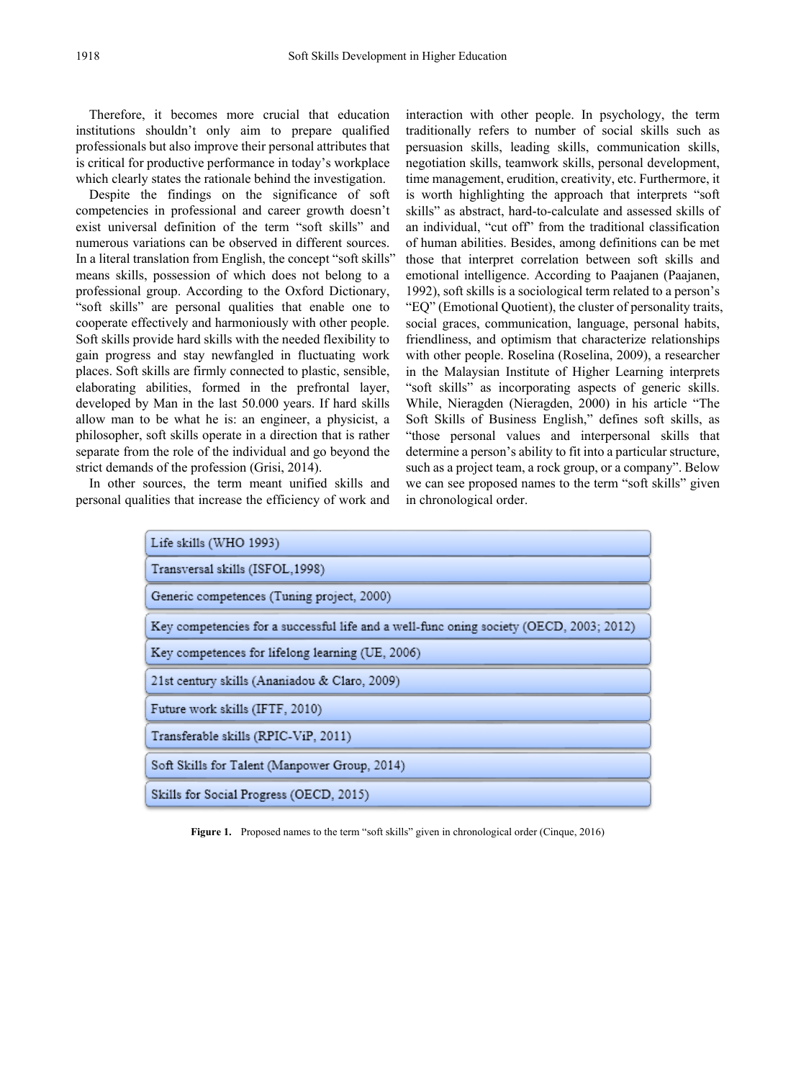Therefore, it becomes more crucial that education institutions shouldn't only aim to prepare qualified professionals but also improve their personal attributes that is critical for productive performance in today's workplace which clearly states the rationale behind the investigation.

Despite the findings on the significance of soft competencies in professional and career growth doesn't exist universal definition of the term "soft skills" and numerous variations can be observed in different sources. In a literal translation from English, the concept "soft skills" means skills, possession of which does not belong to a professional group. According to the Oxford Dictionary, "soft skills" are personal qualities that enable one to cooperate effectively and harmoniously with other people. Soft skills provide hard skills with the needed flexibility to gain progress and stay newfangled in fluctuating work places. Soft skills are firmly connected to plastic, sensible, elaborating abilities, formed in the prefrontal layer, developed by Man in the last 50.000 years. If hard skills allow man to be what he is: an engineer, a physicist, a philosopher, soft skills operate in a direction that is rather separate from the role of the individual and go beyond the strict demands of the profession (Grisi, 2014).

In other sources, the term meant unified skills and personal qualities that increase the efficiency of work and interaction with other people. In psychology, the term traditionally refers to number of social skills such as persuasion skills, leading skills, communication skills, negotiation skills, teamwork skills, personal development, time management, erudition, creativity, etc. Furthermore, it is worth highlighting the approach that interprets "soft skills" as abstract, hard-to-calculate and assessed skills of an individual, "cut off" from the traditional classification of human abilities. Besides, among definitions can be met those that interpret correlation between soft skills and emotional intelligence. According to Paajanen (Paajanen, 1992), soft skills is a sociological term related to a person's "EQ" (Emotional Quotient), the cluster of personality traits, social graces, communication, language, personal habits, friendliness, and optimism that characterize relationships with other people. Roselina (Roselina, 2009), a researcher in the Malaysian Institute of Higher Learning interprets "soft skills" as incorporating aspects of generic skills. While, Nieragden (Nieragden, 2000) in his article "The Soft Skills of Business English," defines soft skills, as "those personal values and interpersonal skills that determine a person's ability to fit into a particular structure, such as a project team, a rock group, or a company". Below we can see proposed names to the term "soft skills" given in chronological order.

| Life skills (WHO 1993)                                                                  |  |  |
|-----------------------------------------------------------------------------------------|--|--|
| Transversal skills (ISFOL, 1998)                                                        |  |  |
| Generic competences (Tuning project, 2000)                                              |  |  |
| Key competencies for a successful life and a well-func oning society (OECD, 2003; 2012) |  |  |
| Key competences for lifelong learning (UE, 2006)                                        |  |  |
| 21st century skills (Ananiadou & Claro, 2009)                                           |  |  |
| Future work skills (IFTF, 2010)                                                         |  |  |
| Transferable skills (RPIC-ViP, 2011)                                                    |  |  |
| Soft Skills for Talent (Manpower Group, 2014)                                           |  |  |
| Skills for Social Progress (OECD, 2015)                                                 |  |  |

Figure 1. Proposed names to the term "soft skills" given in chronological order (Cinque, 2016)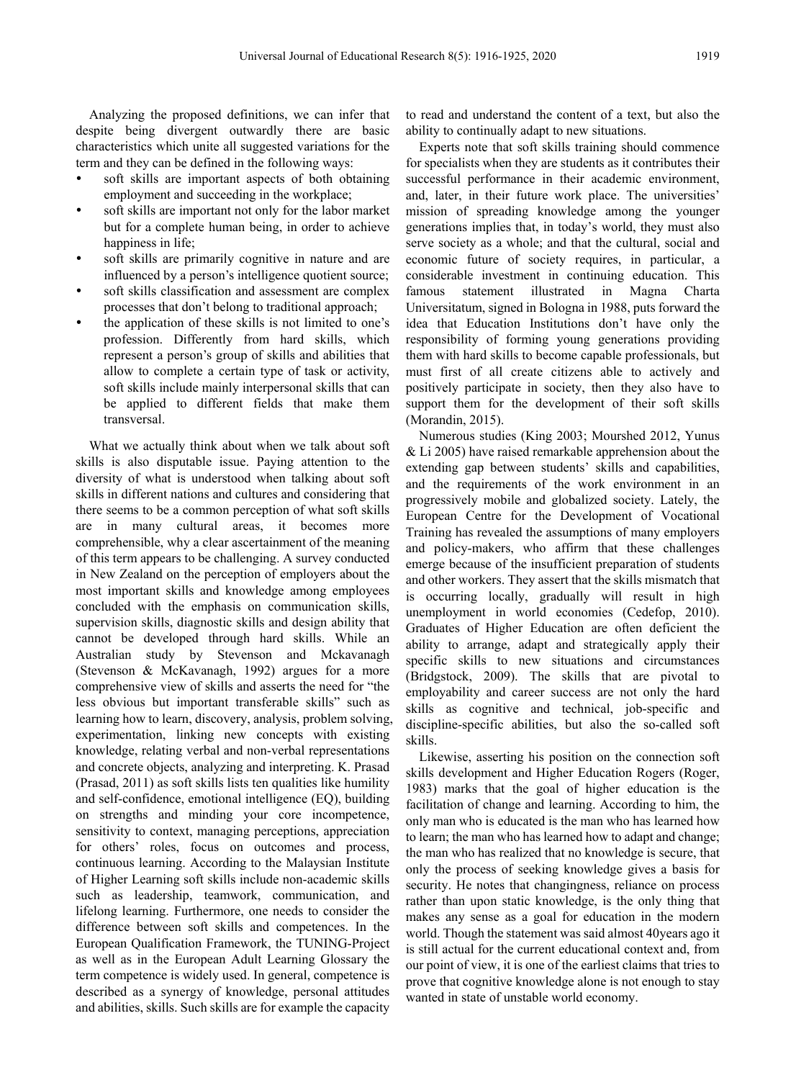Analyzing the proposed definitions, we can infer that despite being divergent outwardly there are basic characteristics which unite all suggested variations for the term and they can be defined in the following ways:

- soft skills are important aspects of both obtaining employment and succeeding in the workplace;
- soft skills are important not only for the labor market but for a complete human being, in order to achieve happiness in life;
- soft skills are primarily cognitive in nature and are influenced by a person's intelligence quotient source;
- soft skills classification and assessment are complex processes that don't belong to traditional approach;
- the application of these skills is not limited to one's profession. Differently from hard skills, which represent a person's group of skills and abilities that allow to complete a certain type of task or activity, soft skills include mainly interpersonal skills that can be applied to different fields that make them transversal.

What we actually think about when we talk about soft skills is also disputable issue. Paying attention to the diversity of what is understood when talking about soft skills in different nations and cultures and considering that there seems to be a common perception of what soft skills are in many cultural areas, it becomes more comprehensible, why a clear ascertainment of the meaning of this term appears to be challenging. A survey conducted in New Zealand on the perception of employers about the most important skills and knowledge among employees concluded with the emphasis on communication skills, supervision skills, diagnostic skills and design ability that cannot be developed through hard skills. While an Australian study by Stevenson and Mckavanagh (Stevenson & McKavanagh, 1992) argues for a more comprehensive view of skills and asserts the need for "the less obvious but important transferable skills" such as learning how to learn, discovery, analysis, problem solving, experimentation, linking new concepts with existing knowledge, relating verbal and non-verbal representations and concrete objects, analyzing and interpreting. K. Prasad (Prasad, 2011) as soft skills lists ten qualities like humility and self-confidence, emotional intelligence (EQ), building on strengths and minding your core incompetence, sensitivity to context, managing perceptions, appreciation for others' roles, focus on outcomes and process, continuous learning. According to the Malaysian Institute of Higher Learning soft skills include non-academic skills such as leadership, teamwork, communication, and lifelong learning. Furthermore, one needs to consider the difference between soft skills and competences. In the European Qualification Framework, the TUNING-Project as well as in the European Adult Learning Glossary the term competence is widely used. In general, competence is described as a synergy of knowledge, personal attitudes and abilities, skills. Such skills are for example the capacity

to read and understand the content of a text, but also the ability to continually adapt to new situations.

Experts note that soft skills training should commence for specialists when they are students as it contributes their successful performance in their academic environment, and, later, in their future work place. The universities' mission of spreading knowledge among the younger generations implies that, in today's world, they must also serve society as a whole; and that the cultural, social and economic future of society requires, in particular, a considerable investment in continuing education. This famous statement illustrated in Magna Charta Universitatum, signed in Bologna in 1988, puts forward the idea that Education Institutions don't have only the responsibility of forming young generations providing them with hard skills to become capable professionals, but must first of all create citizens able to actively and positively participate in society, then they also have to support them for the development of their soft skills (Morandin, 2015).

Numerous studies (King 2003; Mourshed 2012, Yunus & Li 2005) have raised remarkable apprehension about the extending gap between students' skills and capabilities, and the requirements of the work environment in an progressively mobile and globalized society. Lately, the European Centre for the Development of Vocational Training has revealed the assumptions of many employers and policy-makers, who affirm that these challenges emerge because of the insufficient preparation of students and other workers. They assert that the skills mismatch that is occurring locally, gradually will result in high unemployment in world economies (Cedefop, 2010). Graduates of Higher Education are often deficient the ability to arrange, adapt and strategically apply their specific skills to new situations and circumstances (Bridgstock, 2009). The skills that are pivotal to employability and career success are not only the hard skills as cognitive and technical, job-specific and discipline-specific abilities, but also the so-called soft skills.

Likewise, asserting his position on the connection soft skills development and Higher Education Rogers (Roger, 1983) marks that the goal of higher education is the facilitation of change and learning. According to him, the only man who is educated is the man who has learned how to learn; the man who has learned how to adapt and change; the man who has realized that no knowledge is secure, that only the process of seeking knowledge gives a basis for security. He notes that changingness, reliance on process rather than upon static knowledge, is the only thing that makes any sense as a goal for education in the modern world. Though the statement was said almost 40years ago it is still actual for the current educational context and, from our point of view, it is one of the earliest claims that tries to prove that cognitive knowledge alone is not enough to stay wanted in state of unstable world economy.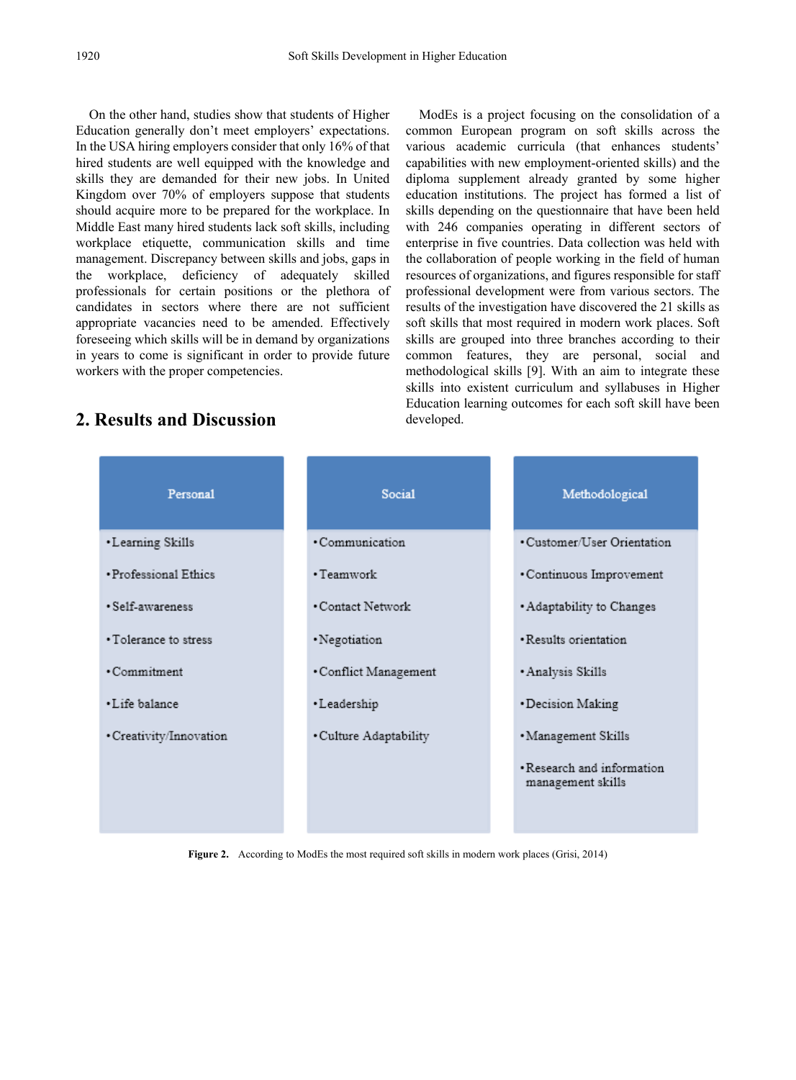On the other hand, studies show that students of Higher Education generally don't meet employers' expectations. In the USA hiring employers consider that only 16% of that hired students are well equipped with the knowledge and skills they are demanded for their new jobs. In United Kingdom over 70% of employers suppose that students should acquire more to be prepared for the workplace. In Middle East many hired students lack soft skills, including workplace etiquette, communication skills and time management. Discrepancy between skills and jobs, gaps in the workplace, deficiency of adequately skilled professionals for certain positions or the plethora of candidates in sectors where there are not sufficient appropriate vacancies need to be amended. Effectively foreseeing which skills will be in demand by organizations in years to come is significant in order to provide future workers with the proper competencies.

ModEs is a project focusing on the consolidation of a common European program on soft skills across the various academic curricula (that enhances students' capabilities with new employment-oriented skills) and the diploma supplement already granted by some higher education institutions. The project has formed a list of skills depending on the questionnaire that have been held with 246 companies operating in different sectors of enterprise in five countries. Data collection was held with the collaboration of people working in the field of human resources of organizations, and figures responsible for staff professional development were from various sectors. The results of the investigation have discovered the 21 skills as soft skills that most required in modern work places. Soft skills are grouped into three branches according to their common features, they are personal, social and methodological skills [9]. With an aim to integrate these skills into existent curriculum and syllabuses in Higher Education learning outcomes for each soft skill have been developed.

# **2. Results and Discussion**

| <b>Social</b>          | Methodological                                  |
|------------------------|-------------------------------------------------|
| · Communication        | • Customer/User Orientation                     |
| · Teamwork             | • Continuous Improvement                        |
| • Contact Network      | • Adaptability to Changes                       |
| • Negotiation          | · Results orientation.                          |
| • Conflict Management  | · Analysis Skills                               |
| • Leadership           | • Decision Making                               |
| · Culture Adaptability | · Management Skills                             |
|                        | • Research and information<br>management skills |
|                        |                                                 |

**Figure 2.** According to ModEs the most required soft skills in modern work places (Grisi, 2014)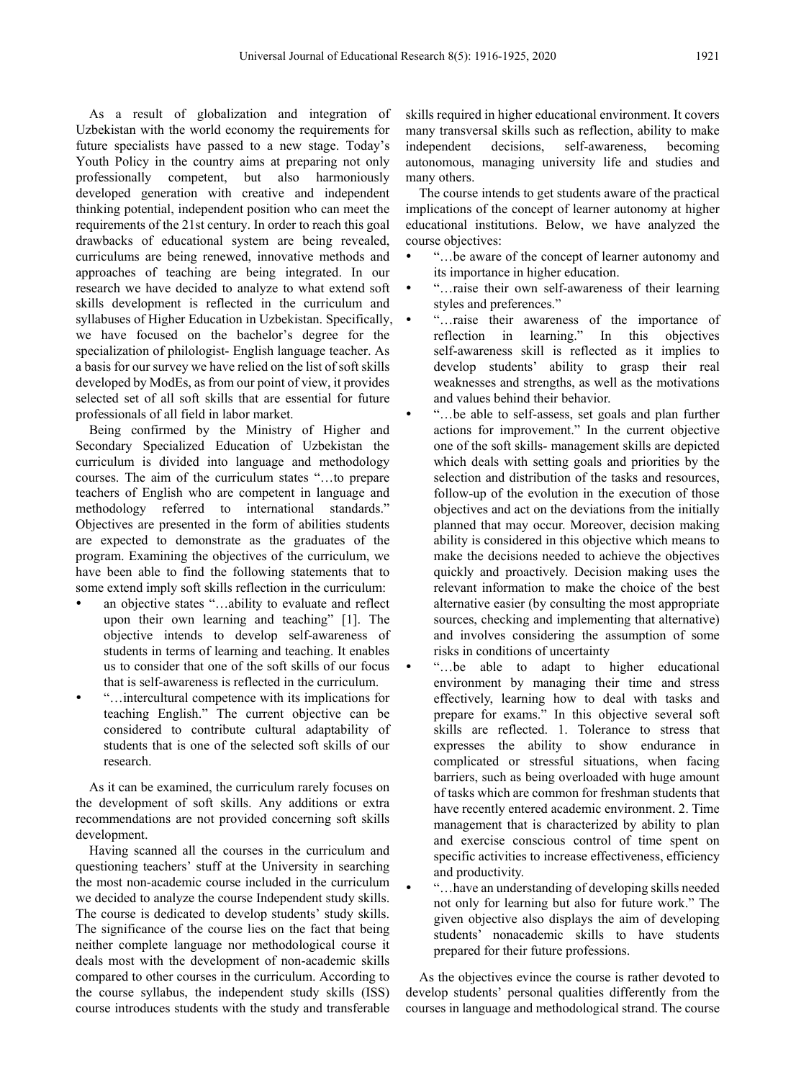As a result of globalization and integration of Uzbekistan with the world economy the requirements for future specialists have passed to a new stage. Today's Youth Policy in the country aims at preparing not only<br>professionally competent, but also harmoniously professionally competent, developed generation with creative and independent thinking potential, independent position who can meet the requirements of the 21st century. In order to reach this goal drawbacks of educational system are being revealed, curriculums are being renewed, innovative methods and approaches of teaching are being integrated. In our research we have decided to analyze to what extend soft skills development is reflected in the curriculum and syllabuses of Higher Education in Uzbekistan. Specifically, we have focused on the bachelor's degree for the specialization of philologist- English language teacher. As a basis for our survey we have relied on the list of soft skills developed by ModEs, as from our point of view, it provides selected set of all soft skills that are essential for future professionals of all field in labor market.

Being confirmed by the Ministry of Higher and Secondary Specialized Education of Uzbekistan the curriculum is divided into language and methodology courses. The aim of the curriculum states "…to prepare teachers of English who are competent in language and methodology referred to international standards." Objectives are presented in the form of abilities students are expected to demonstrate as the graduates of the program. Examining the objectives of the curriculum, we have been able to find the following statements that to some extend imply soft skills reflection in the curriculum:

- an objective states "…ability to evaluate and reflect upon their own learning and teaching" [1]. The objective intends to develop self-awareness of students in terms of learning and teaching. It enables us to consider that one of the soft skills of our focus that is self-awareness is reflected in the curriculum.
- "…intercultural competence with its implications for teaching English." The current objective can be considered to contribute cultural adaptability of students that is one of the selected soft skills of our research.

As it can be examined, the curriculum rarely focuses on the development of soft skills. Any additions or extra recommendations are not provided concerning soft skills development.

Having scanned all the courses in the curriculum and questioning teachers' stuff at the University in searching the most non-academic course included in the curriculum we decided to analyze the course Independent study skills. The course is dedicated to develop students' study skills. The significance of the course lies on the fact that being neither complete language nor methodological course it deals most with the development of non-academic skills compared to other courses in the curriculum. According to the course syllabus, the independent study skills (ISS) course introduces students with the study and transferable

skills required in higher educational environment. It covers many transversal skills such as reflection, ability to make independent decisions, self-awareness, becoming autonomous, managing university life and studies and many others.

The course intends to get students aware of the practical implications of the concept of learner autonomy at higher educational institutions. Below, we have analyzed the course objectives:

- "…be aware of the concept of learner autonomy and its importance in higher education.
- "…raise their own self-awareness of their learning styles and preferences."
- "…raise their awareness of the importance of reflection in learning." In this objectives self-awareness skill is reflected as it implies to develop students' ability to grasp their real weaknesses and strengths, as well as the motivations and values behind their behavior.
- "…be able to self-assess, set goals and plan further actions for improvement." In the current objective one of the soft skills- management skills are depicted which deals with setting goals and priorities by the selection and distribution of the tasks and resources, follow-up of the evolution in the execution of those objectives and act on the deviations from the initially planned that may occur. Moreover, decision making ability is considered in this objective which means to make the decisions needed to achieve the objectives quickly and proactively. Decision making uses the relevant information to make the choice of the best alternative easier (by consulting the most appropriate sources, checking and implementing that alternative) and involves considering the assumption of some risks in conditions of uncertainty
	- "…be able to adapt to higher educational environment by managing their time and stress effectively, learning how to deal with tasks and prepare for exams." In this objective several soft skills are reflected. 1. Tolerance to stress that expresses the ability to show endurance in complicated or stressful situations, when facing barriers, such as being overloaded with huge amount of tasks which are common for freshman students that have recently entered academic environment. 2. Time management that is characterized by ability to plan and exercise conscious control of time spent on specific activities to increase effectiveness, efficiency and productivity.
	- "…have an understanding of developing skills needed not only for learning but also for future work." The given objective also displays the aim of developing students' nonacademic skills to have students prepared for their future professions.

As the objectives evince the course is rather devoted to develop students' personal qualities differently from the courses in language and methodological strand. The course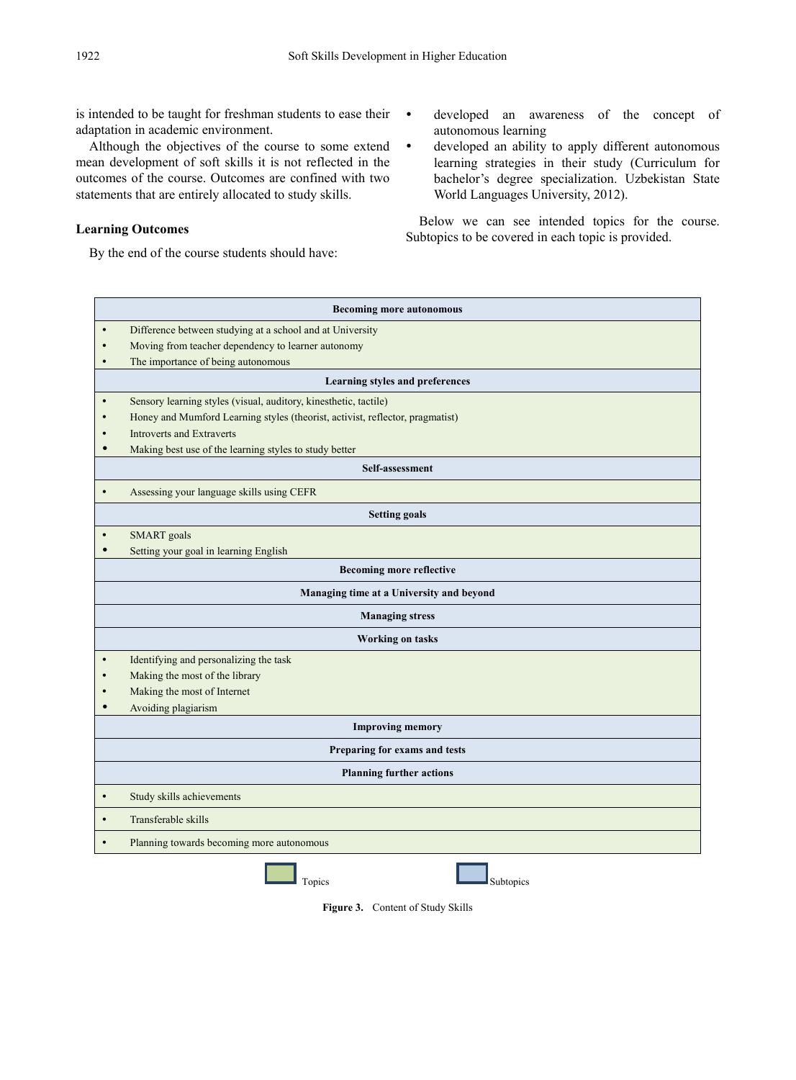is intended to be taught for freshman students to ease their adaptation in academic environment.

Although the objectives of the course to some extend mean development of soft skills it is not reflected in the outcomes of the course. Outcomes are confined with two statements that are entirely allocated to study skills.

#### **Learning Outcomes**

By the end of the course students should have:

- developed an awareness of the concept of autonomous learning
- developed an ability to apply different autonomous learning strategies in their study (Curriculum for bachelor's degree specialization. Uzbekistan State World Languages University, 2012).

Below we can see intended topics for the course. Subtopics to be covered in each topic is provided.

|                                          | <b>Becoming more autonomous</b>                                               |  |  |  |
|------------------------------------------|-------------------------------------------------------------------------------|--|--|--|
| $\bullet$                                | Difference between studying at a school and at University                     |  |  |  |
|                                          | Moving from teacher dependency to learner autonomy                            |  |  |  |
| $\bullet$                                | The importance of being autonomous                                            |  |  |  |
|                                          | Learning styles and preferences                                               |  |  |  |
|                                          | Sensory learning styles (visual, auditory, kinesthetic, tactile)              |  |  |  |
|                                          | Honey and Mumford Learning styles (theorist, activist, reflector, pragmatist) |  |  |  |
|                                          | <b>Introverts and Extraverts</b>                                              |  |  |  |
|                                          | Making best use of the learning styles to study better                        |  |  |  |
| Self-assessment                          |                                                                               |  |  |  |
| $\bullet$                                | Assessing your language skills using CEFR                                     |  |  |  |
|                                          | <b>Setting goals</b>                                                          |  |  |  |
|                                          | <b>SMART</b> goals                                                            |  |  |  |
|                                          | Setting your goal in learning English                                         |  |  |  |
|                                          | <b>Becoming more reflective</b>                                               |  |  |  |
| Managing time at a University and beyond |                                                                               |  |  |  |
| <b>Managing stress</b>                   |                                                                               |  |  |  |
| <b>Working on tasks</b>                  |                                                                               |  |  |  |
|                                          | Identifying and personalizing the task                                        |  |  |  |
|                                          | Making the most of the library                                                |  |  |  |
|                                          | Making the most of Internet                                                   |  |  |  |
|                                          | Avoiding plagiarism                                                           |  |  |  |
|                                          | <b>Improving memory</b>                                                       |  |  |  |
|                                          | Preparing for exams and tests                                                 |  |  |  |
| <b>Planning further actions</b>          |                                                                               |  |  |  |
| $\bullet$                                | Study skills achievements                                                     |  |  |  |
| $\bullet$                                | Transferable skills                                                           |  |  |  |
|                                          | Planning towards becoming more autonomous                                     |  |  |  |
| Subtopics<br>Topics                      |                                                                               |  |  |  |

**Figure 3.** Content of Study Skills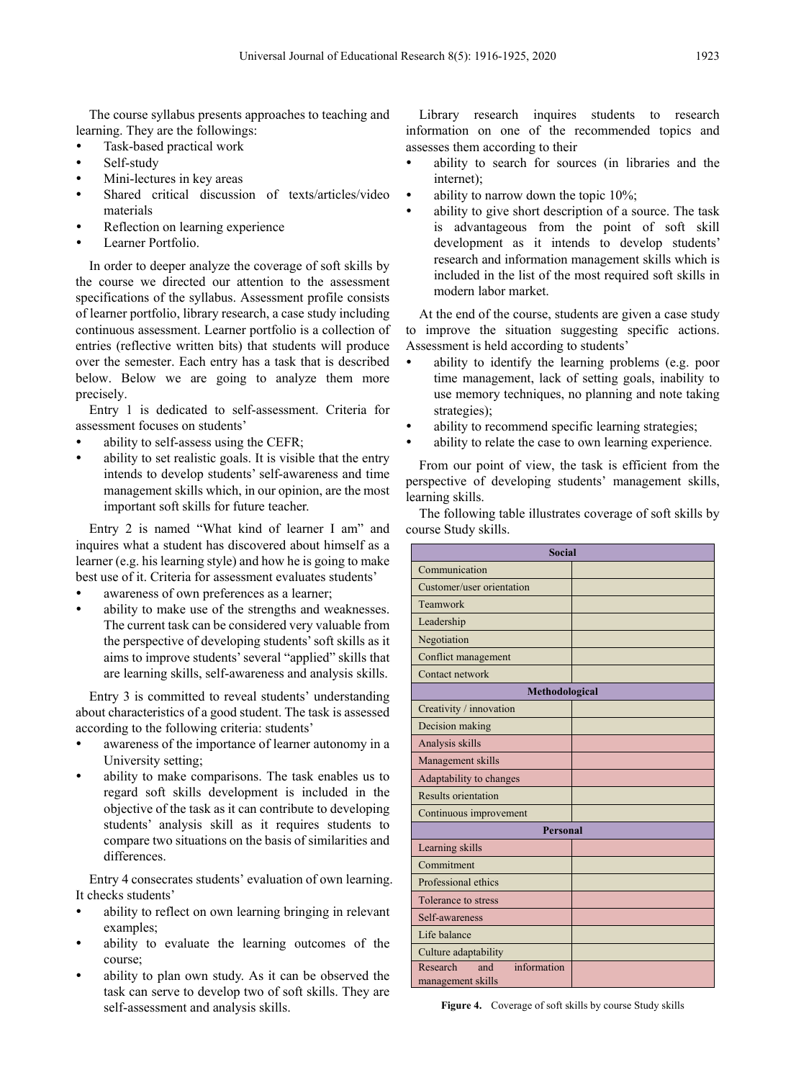The course syllabus presents approaches to teaching and learning. They are the followings:

- Task-based practical work
- Self-study
- Mini-lectures in key areas
- Shared critical discussion of texts/articles/video materials
- Reflection on learning experience
- Learner Portfolio.

In order to deeper analyze the coverage of soft skills by the course we directed our attention to the assessment specifications of the syllabus. Assessment profile consists of learner portfolio, library research, a case study including continuous assessment. Learner portfolio is a collection of entries (reflective written bits) that students will produce over the semester. Each entry has a task that is described below. Below we are going to analyze them more precisely.

Entry 1 is dedicated to self-assessment. Criteria for assessment focuses on students'

- ability to self-assess using the CEFR;
- ability to set realistic goals. It is visible that the entry intends to develop students' self-awareness and time management skills which, in our opinion, are the most important soft skills for future teacher.

Entry 2 is named "What kind of learner I am" and inquires what a student has discovered about himself as a learner (e.g. his learning style) and how he is going to make best use of it. Criteria for assessment evaluates students'

- awareness of own preferences as a learner;
- ability to make use of the strengths and weaknesses. The current task can be considered very valuable from the perspective of developing students' soft skills as it aims to improve students' several "applied" skills that are learning skills, self-awareness and analysis skills.

Entry 3 is committed to reveal students' understanding about characteristics of a good student. The task is assessed according to the following criteria: students'

- awareness of the importance of learner autonomy in a University setting;
- ability to make comparisons. The task enables us to regard soft skills development is included in the objective of the task as it can contribute to developing students' analysis skill as it requires students to compare two situations on the basis of similarities and differences.

Entry 4 consecrates students' evaluation of own learning. It checks students'

- ability to reflect on own learning bringing in relevant examples;
- ability to evaluate the learning outcomes of the course;
- ability to plan own study. As it can be observed the task can serve to develop two of soft skills. They are self-assessment and analysis skills.

Library research inquires students to research information on one of the recommended topics and assesses them according to their

- ability to search for sources (in libraries and the internet);
- ability to narrow down the topic 10%;
- ability to give short description of a source. The task is advantageous from the point of soft skill development as it intends to develop students' research and information management skills which is included in the list of the most required soft skills in modern labor market.

At the end of the course, students are given a case study to improve the situation suggesting specific actions. Assessment is held according to students'

- ability to identify the learning problems (e.g. poor time management, lack of setting goals, inability to use memory techniques, no planning and note taking strategies);
- ability to recommend specific learning strategies;
- ability to relate the case to own learning experience.

From our point of view, the task is efficient from the perspective of developing students' management skills, learning skills.

The following table illustrates coverage of soft skills by course Study skills.

| <b>Social</b>                                       |  |  |  |
|-----------------------------------------------------|--|--|--|
| Communication                                       |  |  |  |
| Customer/user orientation                           |  |  |  |
| Teamwork                                            |  |  |  |
| Leadership                                          |  |  |  |
| Negotiation                                         |  |  |  |
| Conflict management                                 |  |  |  |
| Contact network                                     |  |  |  |
| Methodological                                      |  |  |  |
| Creativity / innovation                             |  |  |  |
| Decision making                                     |  |  |  |
| Analysis skills                                     |  |  |  |
| Management skills                                   |  |  |  |
| Adaptability to changes                             |  |  |  |
| <b>Results orientation</b>                          |  |  |  |
| Continuous improvement                              |  |  |  |
| <b>Personal</b>                                     |  |  |  |
| Learning skills                                     |  |  |  |
| Commitment                                          |  |  |  |
| Professional ethics                                 |  |  |  |
| Tolerance to stress                                 |  |  |  |
| Self-awareness                                      |  |  |  |
| Life balance                                        |  |  |  |
| Culture adaptability                                |  |  |  |
| Research<br>information<br>and<br>management skills |  |  |  |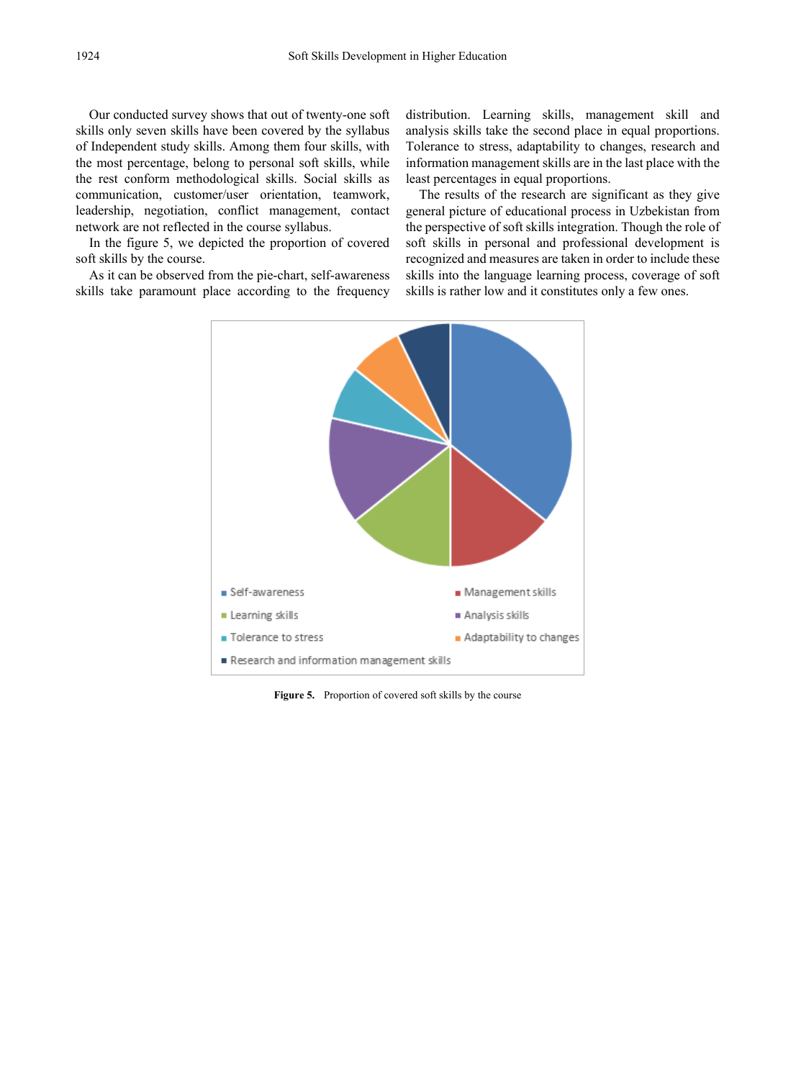Our conducted survey shows that out of twenty-one soft skills only seven skills have been covered by the syllabus of Independent study skills. Among them four skills, with the most percentage, belong to personal soft skills, while the rest conform methodological skills. Social skills as communication, customer/user orientation, teamwork, leadership, negotiation, conflict management, contact network are not reflected in the course syllabus.

In the figure 5, we depicted the proportion of covered soft skills by the course.

As it can be observed from the pie-chart, self-awareness skills take paramount place according to the frequency

distribution. Learning skills, management skill and analysis skills take the second place in equal proportions. Tolerance to stress, adaptability to changes, research and information management skills are in the last place with the least percentages in equal proportions.

The results of the research are significant as they give general picture of educational process in Uzbekistan from the perspective of soft skills integration. Though the role of soft skills in personal and professional development is recognized and measures are taken in order to include these skills into the language learning process, coverage of soft skills is rather low and it constitutes only a few ones.



**Figure 5.** Proportion of covered soft skills by the course